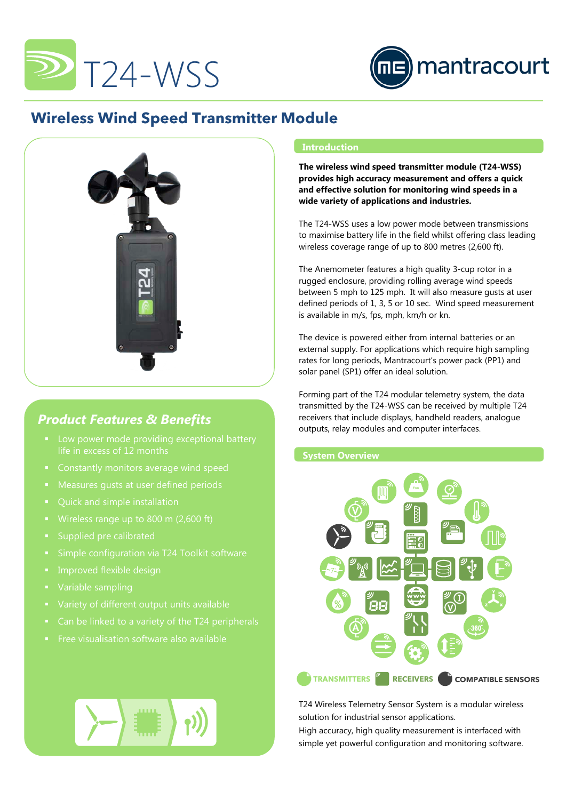



# **Wireless Wind Speed Transmitter Module**



## *Product Features & Benefits*

- life in excess of 12 months
- 
- Measures gusts at user defined periods
- 
- 
- Supplied pre calibrated
- 
- 
- 
- 
- Can be linked to a variety of the T24 peripherals
- Free visualisation software also available

### **Introduction**

**The wireless wind speed transmitter module (T24-WSS) provides high accuracy measurement and offers a quick and effective solution for monitoring wind speeds in a wide variety of applications and industries.**

The T24-WSS uses a low power mode between transmissions to maximise battery life in the field whilst offering class leading wireless coverage range of up to 800 metres (2,600 ft).

The Anemometer features a high quality 3-cup rotor in a rugged enclosure, providing rolling average wind speeds between 5 mph to 125 mph. It will also measure gusts at user defined periods of 1, 3, 5 or 10 sec. Wind speed measurement is available in m/s, fps, mph, km/h or kn.

The device is powered either from internal batteries or an external supply. For applications which require high sampling rates for long periods, Mantracourt's power pack (PP1) and solar panel (SP1) offer an ideal solution.

Forming part of the T24 modular telemetry system, the data transmitted by the T24-WSS can be received by multiple T24 receivers that include displays, handheld readers, analogue outputs, relay modules and computer interfaces.

## **System Overview**



T24 Wireless Telemetry Sensor System is a modular wireless solution for industrial sensor applications.

High accuracy, high quality measurement is interfaced with simple yet powerful configuration and monitoring software.